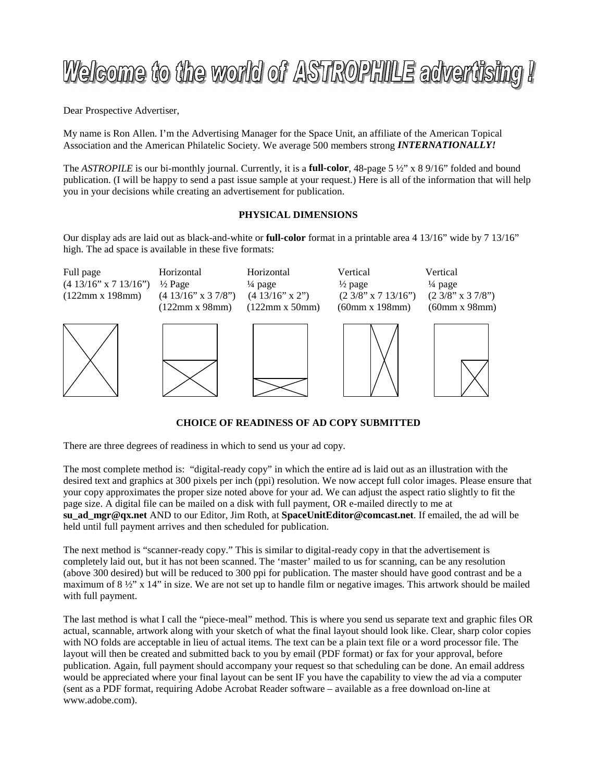# Welcome to the world of ASTROPHILE advertising !

Dear Prospective Advertiser,

My name is Ron Allen. I'm the Advertising Manager for the Space Unit, an affiliate of the American Topical Association and the American Philatelic Society. We average 500 members strong *INTERNATIONALLY!*

The *ASTROPILE* is our bi-monthly journal. Currently, it is a **full-color**, 48-page 5 ½" x 8 9/16" folded and bound publication. (I will be happy to send a past issue sample at your request.) Here is all of the information that will help you in your decisions while creating an advertisement for publication.

## **PHYSICAL DIMENSIONS**

Our display ads are laid out as black-and-white or **full-color** format in a printable area 4 13/16" wide by 7 13/16" high. The ad space is available in these five formats:



## **CHOICE OF READINESS OF AD COPY SUBMITTED**

There are three degrees of readiness in which to send us your ad copy.

The most complete method is: "digital-ready copy" in which the entire ad is laid out as an illustration with the desired text and graphics at 300 pixels per inch (ppi) resolution. We now accept full color images. Please ensure that your copy approximates the proper size noted above for your ad. We can adjust the aspect ratio slightly to fit the page size. A digital file can be mailed on a disk with full payment, OR e-mailed directly to me at **su\_ad\_mgr@qx.net** AND to our Editor, Jim Roth, at **SpaceUnitEditor@comcast.net**. If emailed, the ad will be held until full payment arrives and then scheduled for publication.

The next method is "scanner-ready copy." This is similar to digital-ready copy in that the advertisement is completely laid out, but it has not been scanned. The 'master' mailed to us for scanning, can be any resolution (above 300 desired) but will be reduced to 300 ppi for publication. The master should have good contrast and be a maximum of 8  $\frac{1}{2}$ " x 14" in size. We are not set up to handle film or negative images. This artwork should be mailed with full payment.

The last method is what I call the "piece-meal" method. This is where you send us separate text and graphic files OR actual, scannable, artwork along with your sketch of what the final layout should look like. Clear, sharp color copies with NO folds are acceptable in lieu of actual items. The text can be a plain text file or a word processor file. The layout will then be created and submitted back to you by email (PDF format) or fax for your approval, before publication. Again, full payment should accompany your request so that scheduling can be done. An email address would be appreciated where your final layout can be sent IF you have the capability to view the ad via a computer (sent as a PDF format, requiring Adobe Acrobat Reader software – available as a free download on-line at www.adobe.com).